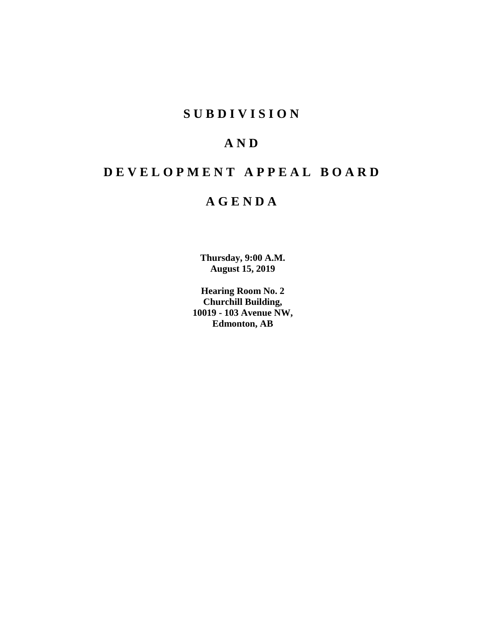# **SUBDIVISION**

# **AND**

# **DEVELOPMENT APPEAL BOARD**

# **AGENDA**

**Thursday, 9:00 A.M. August 15, 2019**

**Hearing Room No. 2 Churchill Building, 10019 - 103 Avenue NW, Edmonton, AB**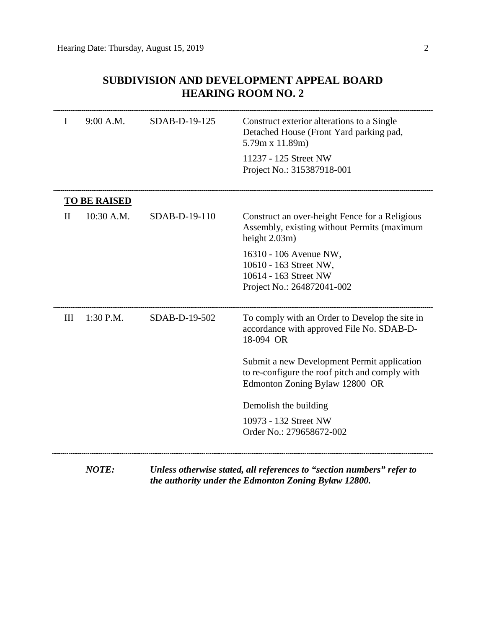|              | педмичу коолпоо. 2  |               |                                                                                                                                 |  |  |
|--------------|---------------------|---------------|---------------------------------------------------------------------------------------------------------------------------------|--|--|
| I            | 9:00 A.M.           | SDAB-D-19-125 | Construct exterior alterations to a Single<br>Detached House (Front Yard parking pad,<br>$5.79m \times 11.89m$                  |  |  |
|              |                     |               | 11237 - 125 Street NW<br>Project No.: 315387918-001                                                                             |  |  |
|              | <b>TO BE RAISED</b> |               |                                                                                                                                 |  |  |
| $\mathbf{I}$ | 10:30 A.M.          | SDAB-D-19-110 | Construct an over-height Fence for a Religious<br>Assembly, existing without Permits (maximum<br>height $2.03m$ )               |  |  |
|              |                     |               | 16310 - 106 Avenue NW,<br>10610 - 163 Street NW,<br>10614 - 163 Street NW<br>Project No.: 264872041-002                         |  |  |
| III          | $1:30$ P.M.         | SDAB-D-19-502 | To comply with an Order to Develop the site in<br>accordance with approved File No. SDAB-D-<br>18-094 OR                        |  |  |
|              |                     |               | Submit a new Development Permit application<br>to re-configure the roof pitch and comply with<br>Edmonton Zoning Bylaw 12800 OR |  |  |
|              |                     |               | Demolish the building                                                                                                           |  |  |
|              |                     |               | 10973 - 132 Street NW<br>Order No.: 279658672-002                                                                               |  |  |
|              |                     |               |                                                                                                                                 |  |  |

# **SUBDIVISION AND DEVELOPMENT APPEAL BOARD HEARING ROOM NO. 2**

*NOTE: Unless otherwise stated, all references to "section numbers" refer to the authority under the Edmonton Zoning Bylaw 12800.*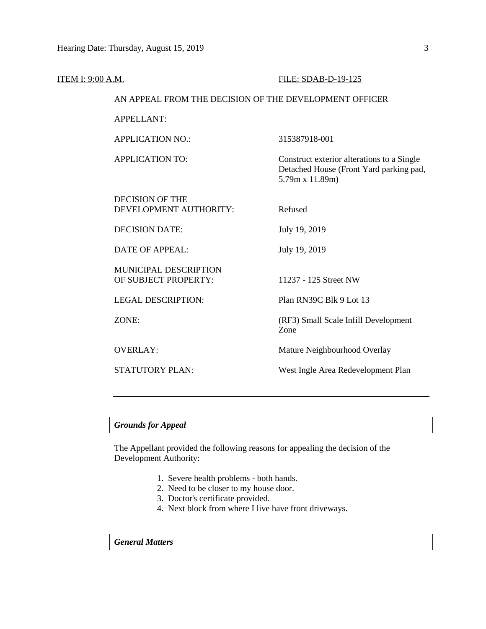| ITEM I: 9:00 A.M. |                                                        | FILE: SDAB-D-19-125                                                                                      |  |  |  |
|-------------------|--------------------------------------------------------|----------------------------------------------------------------------------------------------------------|--|--|--|
|                   | AN APPEAL FROM THE DECISION OF THE DEVELOPMENT OFFICER |                                                                                                          |  |  |  |
|                   | <b>APPELLANT:</b>                                      |                                                                                                          |  |  |  |
|                   | <b>APPLICATION NO.:</b>                                | 315387918-001                                                                                            |  |  |  |
|                   | <b>APPLICATION TO:</b>                                 | Construct exterior alterations to a Single<br>Detached House (Front Yard parking pad,<br>5.79m x 11.89m) |  |  |  |
|                   | <b>DECISION OF THE</b><br>DEVELOPMENT AUTHORITY:       | Refused                                                                                                  |  |  |  |
|                   | <b>DECISION DATE:</b>                                  | July 19, 2019                                                                                            |  |  |  |
|                   | <b>DATE OF APPEAL:</b>                                 | July 19, 2019                                                                                            |  |  |  |
|                   | MUNICIPAL DESCRIPTION<br>OF SUBJECT PROPERTY:          | 11237 - 125 Street NW                                                                                    |  |  |  |
|                   | <b>LEGAL DESCRIPTION:</b>                              | Plan RN39C Blk 9 Lot 13                                                                                  |  |  |  |
|                   | ZONE:                                                  | (RF3) Small Scale Infill Development<br>Zone                                                             |  |  |  |
|                   | <b>OVERLAY:</b>                                        | Mature Neighbourhood Overlay                                                                             |  |  |  |
|                   | STATUTORY PLAN:                                        | West Ingle Area Redevelopment Plan                                                                       |  |  |  |
|                   |                                                        |                                                                                                          |  |  |  |

# *Grounds for Appeal*

The Appellant provided the following reasons for appealing the decision of the Development Authority:

- 1. Severe health problems both hands.
- 2. Need to be closer to my house door.
- 3. Doctor's certificate provided.
- 4. Next block from where I live have front driveways.

*General Matters*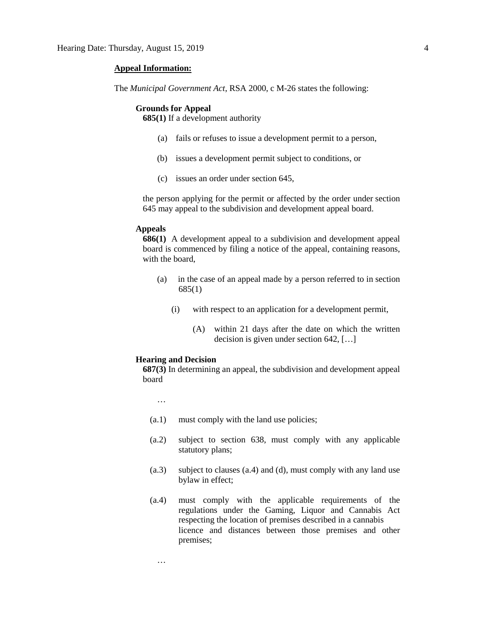#### **Appeal Information:**

The *Municipal Government Act*, RSA 2000, c M-26 states the following:

#### **Grounds for Appeal**

**685(1)** If a development authority

- (a) fails or refuses to issue a development permit to a person,
- (b) issues a development permit subject to conditions, or
- (c) issues an order under section 645,

the person applying for the permit or affected by the order under section 645 may appeal to the subdivision and development appeal board.

#### **Appeals**

**686(1)** A development appeal to a subdivision and development appeal board is commenced by filing a notice of the appeal, containing reasons, with the board,

- (a) in the case of an appeal made by a person referred to in section 685(1)
	- (i) with respect to an application for a development permit,
		- (A) within 21 days after the date on which the written decision is given under section 642, […]

#### **Hearing and Decision**

**687(3)** In determining an appeal, the subdivision and development appeal board

…

…

- (a.1) must comply with the land use policies;
- (a.2) subject to section 638, must comply with any applicable statutory plans;
- (a.3) subject to clauses (a.4) and (d), must comply with any land use bylaw in effect;
- (a.4) must comply with the applicable requirements of the regulations under the Gaming, Liquor and Cannabis Act respecting the location of premises described in a cannabis licence and distances between those premises and other premises;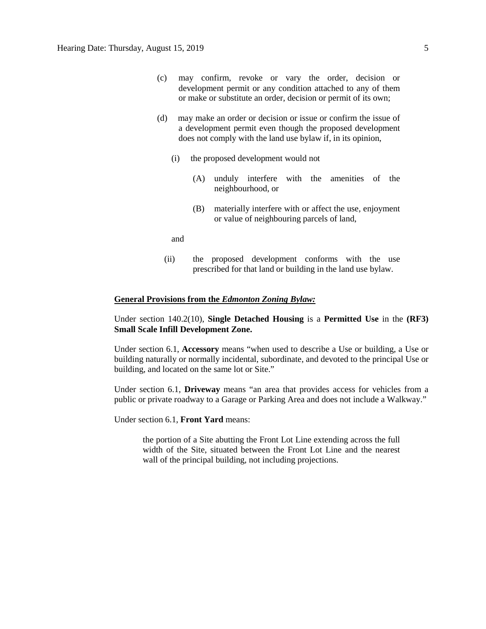- (c) may confirm, revoke or vary the order, decision or development permit or any condition attached to any of them or make or substitute an order, decision or permit of its own;
- (d) may make an order or decision or issue or confirm the issue of a development permit even though the proposed development does not comply with the land use bylaw if, in its opinion,
	- (i) the proposed development would not
		- (A) unduly interfere with the amenities of the neighbourhood, or
		- (B) materially interfere with or affect the use, enjoyment or value of neighbouring parcels of land,

and

(ii) the proposed development conforms with the use prescribed for that land or building in the land use bylaw.

#### **General Provisions from the** *Edmonton Zoning Bylaw:*

Under section 140.2(10), **Single Detached Housing** is a **Permitted Use** in the **(RF3) Small Scale Infill Development Zone.** 

Under section 6.1, **Accessory** means "when used to describe a Use or building, a Use or building naturally or normally incidental, subordinate, and devoted to the principal Use or building, and located on the same lot or Site."

Under section 6.1, **Driveway** means "an area that provides access for vehicles from a public or private roadway to a Garage or Parking Area and does not include a Walkway."

Under section 6.1, **Front Yard** means:

the portion of a Site abutting the Front Lot Line extending across the full width of the Site, situated between the Front Lot Line and the nearest wall of the principal building, not including projections.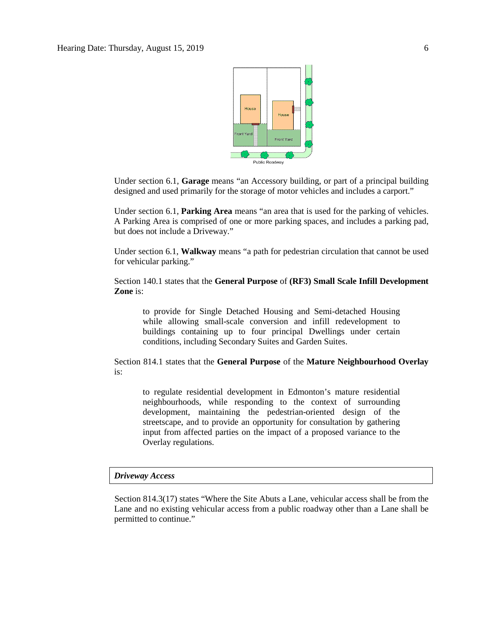

Under section 6.1, **Garage** means "an Accessory building, or part of a principal building designed and used primarily for the storage of motor vehicles and includes a carport."

Under section 6.1, **Parking Area** means "an area that is used for the parking of vehicles. A Parking Area is comprised of one or more parking spaces, and includes a parking pad, but does not include a Driveway."

Under section 6.1, **Walkway** means "a path for pedestrian circulation that cannot be used for vehicular parking."

Section 140.1 states that the **General Purpose** of **(RF3) Small Scale Infill Development Zone** is:

to provide for Single Detached Housing and Semi-detached Housing while allowing small-scale conversion and infill redevelopment to buildings containing up to four principal Dwellings under certain conditions, including Secondary Suites and Garden Suites.

Section 814.1 states that the **General Purpose** of the **Mature Neighbourhood Overlay** is:

to regulate residential development in Edmonton's mature residential neighbourhoods, while responding to the context of surrounding development, maintaining the pedestrian-oriented design of the streetscape, and to provide an opportunity for consultation by gathering input from affected parties on the impact of a proposed variance to the Overlay regulations.

#### *Driveway Access*

Section 814.3(17) states "Where the Site Abuts a Lane, vehicular access shall be from the Lane and no existing vehicular access from a public roadway other than a Lane shall be permitted to continue."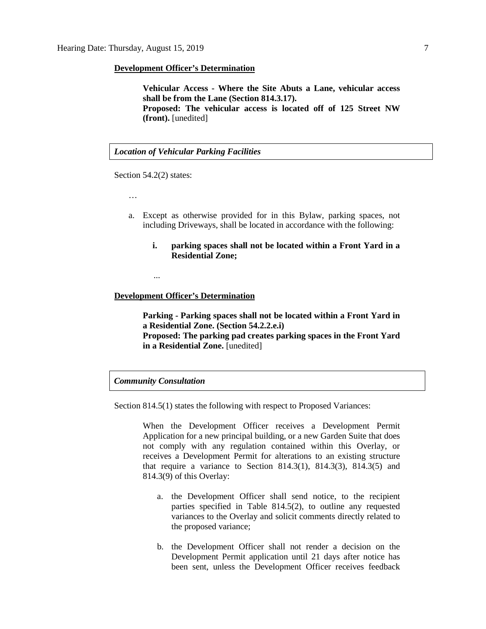#### **Development Officer's Determination**

**Vehicular Access - Where the Site Abuts a Lane, vehicular access shall be from the Lane (Section 814.3.17). Proposed: The vehicular access is located off of 125 Street NW (front).** [unedited]

#### *Location of Vehicular Parking Facilities*

Section 54.2(2) states:

…

- a. Except as otherwise provided for in this Bylaw, parking spaces, not including Driveways, shall be located in accordance with the following:
	- **i. parking spaces shall not be located within a Front Yard in a Residential Zone;**

...

#### **Development Officer's Determination**

**Parking - Parking spaces shall not be located within a Front Yard in a Residential Zone. (Section 54.2.2.e.i) Proposed: The parking pad creates parking spaces in the Front Yard in a Residential Zone.** [unedited]

# *Community Consultation*

Section 814.5(1) states the following with respect to Proposed Variances:

When the Development Officer receives a Development Permit Application for a new principal building, or a new Garden Suite that does not comply with any regulation contained within this Overlay, or receives a Development Permit for alterations to an existing structure that require a variance to Section 814.3(1), 814.3(3), 814.3(5) and 814.3(9) of this Overlay:

- a. the Development Officer shall send notice, to the recipient parties specified in Table 814.5(2), to outline any requested variances to the Overlay and solicit comments directly related to the proposed variance;
- b. the Development Officer shall not render a decision on the Development Permit application until 21 days after notice has been sent, unless the Development Officer receives feedback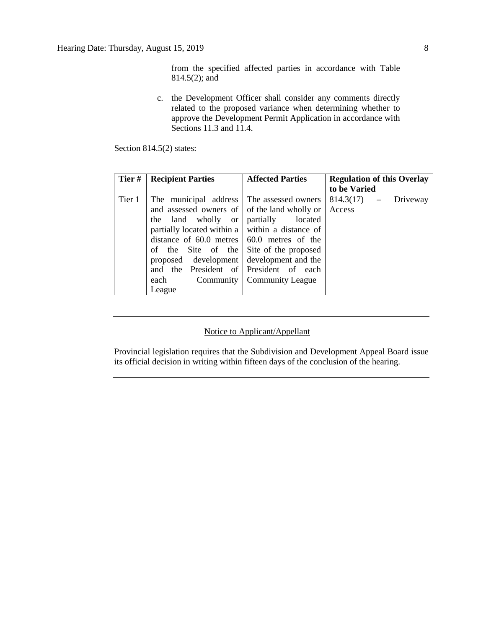from the specified affected parties in accordance with Table 814.5(2); and

c. the Development Officer shall consider any comments directly related to the proposed variance when determining whether to approve the Development Permit Application in accordance with Sections  $11.3$  and  $11.4$ .

Section 814.5(2) states:

| Tier#  | <b>Recipient Parties</b>                             | <b>Affected Parties</b>      | <b>Regulation of this Overlay</b> |
|--------|------------------------------------------------------|------------------------------|-----------------------------------|
|        |                                                      |                              | to be Varied                      |
| Tier 1 | The municipal address The assessed owners            |                              | $814.3(17) -$<br>Driveway         |
|        | and assessed owners of of the land wholly or         |                              | Access                            |
|        | the land wholly or                                   | partially<br>located         |                                   |
|        | partially located within a   within a distance of    |                              |                                   |
|        | distance of $60.0$ metres $\vert 60.0$ metres of the |                              |                                   |
|        | of the Site of the Site of the proposed              |                              |                                   |
|        | proposed development                                 | development and the          |                                   |
|        | and the President of President of each               |                              |                                   |
|        | each                                                 | Community   Community League |                                   |
|        | League                                               |                              |                                   |

#### Notice to Applicant/Appellant

Provincial legislation requires that the Subdivision and Development Appeal Board issue its official decision in writing within fifteen days of the conclusion of the hearing.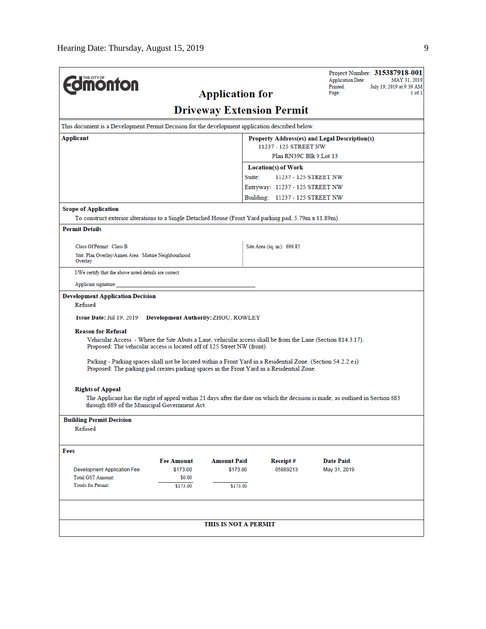| <b>Edmonton</b>                                                                                                                                                                                            |                   | <b>Application for</b>           |                                                  | Project Number: 315387918-001<br><b>Application Date:</b><br>MAY 31, 2019<br>Printed:<br>July 19, 2019 at 9:39 AM<br>1 of 1<br>Page: |
|------------------------------------------------------------------------------------------------------------------------------------------------------------------------------------------------------------|-------------------|----------------------------------|--------------------------------------------------|--------------------------------------------------------------------------------------------------------------------------------------|
|                                                                                                                                                                                                            |                   | <b>Driveway Extension Permit</b> |                                                  |                                                                                                                                      |
| This document is a Development Permit Decision for the development application described below.                                                                                                            |                   |                                  |                                                  |                                                                                                                                      |
| Applicant                                                                                                                                                                                                  |                   |                                  |                                                  | Property Address(es) and Legal Description(s)                                                                                        |
|                                                                                                                                                                                                            |                   |                                  | 11237 - 125 STREET NW<br>Plan RN39C Blk 9 Lot 13 |                                                                                                                                      |
|                                                                                                                                                                                                            |                   |                                  | Location(s) of Work                              |                                                                                                                                      |
|                                                                                                                                                                                                            |                   | Suite:                           |                                                  | 11237 - 125 STREET NW                                                                                                                |
|                                                                                                                                                                                                            |                   |                                  | Entryway: 11237 - 125 STREET NW                  |                                                                                                                                      |
|                                                                                                                                                                                                            |                   |                                  | Building: 11237 - 125 STREET NW                  |                                                                                                                                      |
| <b>Scope of Application</b>                                                                                                                                                                                |                   |                                  |                                                  |                                                                                                                                      |
| To construct exterior alterations to a Single Detached House (Front Yard parking pad, 5.79m x 11.89m).                                                                                                     |                   |                                  |                                                  |                                                                                                                                      |
| <b>Permit Details</b>                                                                                                                                                                                      |                   |                                  |                                                  |                                                                                                                                      |
| Class Of Permit: Class B                                                                                                                                                                                   |                   |                                  | Site Area (sq. m.): 696.85                       |                                                                                                                                      |
| Stat. Plan Overlay/Annex Area: Mature Neighbourhood                                                                                                                                                        |                   |                                  |                                                  |                                                                                                                                      |
| Overlay                                                                                                                                                                                                    |                   |                                  |                                                  |                                                                                                                                      |
| I/We certify that the above noted details are correct.                                                                                                                                                     |                   |                                  |                                                  |                                                                                                                                      |
| Applicant signature:                                                                                                                                                                                       |                   |                                  |                                                  |                                                                                                                                      |
| <b>Development Application Decision</b>                                                                                                                                                                    |                   |                                  |                                                  |                                                                                                                                      |
| Refused                                                                                                                                                                                                    |                   |                                  |                                                  |                                                                                                                                      |
| Issue Date: Jul 19, 2019 Development Authority: ZHOU, ROWLEY                                                                                                                                               |                   |                                  |                                                  |                                                                                                                                      |
| <b>Reason for Refusal</b><br>Vehicular Access - Where the Site Abuts a Lane, vehicular access shall be from the Lane (Section 814.3.17).                                                                   |                   |                                  |                                                  |                                                                                                                                      |
| Proposed: The vehicular access is located off of 125 Street NW (front).                                                                                                                                    |                   |                                  |                                                  |                                                                                                                                      |
| Parking - Parking spaces shall not be located within a Front Yard in a Residential Zone. (Section 54.2.2.e.i)<br>Proposed: The parking pad creates parking spaces in the Front Yard in a Residential Zone. |                   |                                  |                                                  |                                                                                                                                      |
| <b>Rights of Appeal</b>                                                                                                                                                                                    |                   |                                  |                                                  |                                                                                                                                      |
| through 689 of the Municipal Government Act.                                                                                                                                                               |                   |                                  |                                                  | The Applicant has the right of appeal within 21 days after the date on which the decision is made, as outlined in Section 683        |
| <b>Building Permit Decision</b>                                                                                                                                                                            |                   |                                  |                                                  |                                                                                                                                      |
| Refused                                                                                                                                                                                                    |                   |                                  |                                                  |                                                                                                                                      |
| Fees                                                                                                                                                                                                       |                   |                                  |                                                  |                                                                                                                                      |
|                                                                                                                                                                                                            | <b>Fee Amount</b> | <b>Amount Paid</b>               | Receipt#                                         | <b>Date Paid</b>                                                                                                                     |
| <b>Development Application Fee</b>                                                                                                                                                                         | \$173.00          | \$173.00                         | 05889213                                         | May 31, 2019                                                                                                                         |
| <b>Total GST Amount:</b><br><b>Totals for Permit:</b>                                                                                                                                                      | \$0.00            |                                  |                                                  |                                                                                                                                      |
|                                                                                                                                                                                                            | \$173.00          | \$173.00                         |                                                  |                                                                                                                                      |
|                                                                                                                                                                                                            |                   |                                  |                                                  |                                                                                                                                      |
|                                                                                                                                                                                                            |                   | THIS IS NOT A PERMIT             |                                                  |                                                                                                                                      |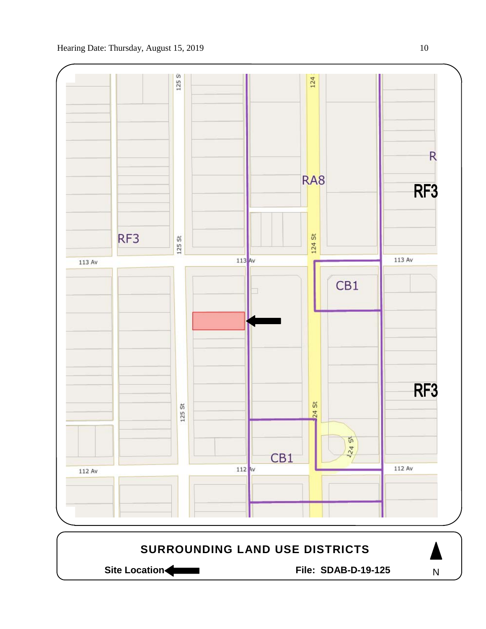

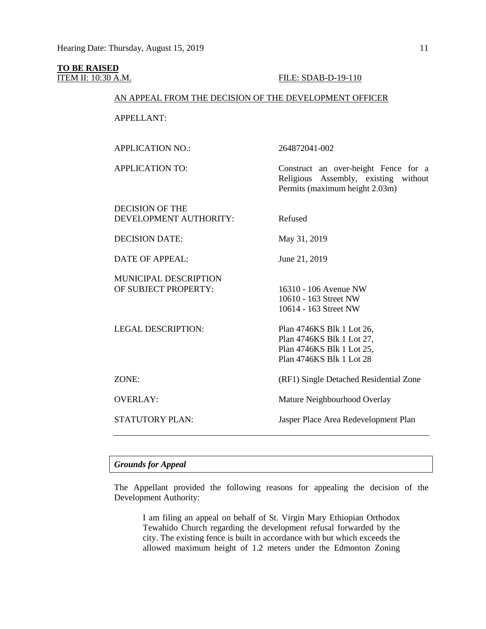# **TO BE RAISED**

### **ITEM II: 10:30 A.M. FILE: SDAB-D-19-110**

Religious Assembly, existing without

Permits (maximum height 2.03m)

### AN APPEAL FROM THE DECISION OF THE DEVELOPMENT OFFICER

APPELLANT:

APPLICATION NO.: 264872041-002

APPLICATION TO: Construct an over-height Fence for a

DECISION OF THE DEVELOPMENT AUTHORITY: Refused DECISION DATE: May 31, 2019 DATE OF APPEAL: June 21, 2019 MUNICIPAL DESCRIPTION OF SUBJECT PROPERTY: 16310 - 106 Avenue NW 10610 - 163 Street NW 10614 - 163 Street NW LEGAL DESCRIPTION: Plan 4746KS Blk 1 Lot 26, Plan 4746KS Blk 1 Lot 27, Plan 4746KS Blk 1 Lot 25, Plan 4746KS Blk 1 Lot 28 ZONE: (RF1) Single Detached Residential Zone OVERLAY: Mature Neighbourhood Overlay STATUTORY PLAN: Jasper Place Area Redevelopment Plan

# *Grounds for Appeal*

The Appellant provided the following reasons for appealing the decision of the Development Authority:

I am filing an appeal on behalf of St. Virgin Mary Ethiopian Orthodox Tewahido Church regarding the development refusal forwarded by the city. The existing fence is built in accordance with but which exceeds the allowed maximum height of 1.2 meters under the Edmonton Zoning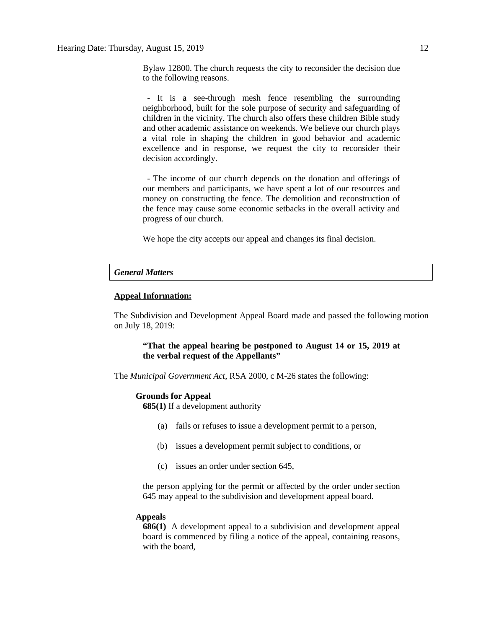Bylaw 12800. The church requests the city to reconsider the decision due to the following reasons.

 - It is a see-through mesh fence resembling the surrounding neighborhood, built for the sole purpose of security and safeguarding of children in the vicinity. The church also offers these children Bible study and other academic assistance on weekends. We believe our church plays a vital role in shaping the children in good behavior and academic excellence and in response, we request the city to reconsider their decision accordingly.

 - The income of our church depends on the donation and offerings of our members and participants, we have spent a lot of our resources and money on constructing the fence. The demolition and reconstruction of the fence may cause some economic setbacks in the overall activity and progress of our church.

We hope the city accepts our appeal and changes its final decision.

#### *General Matters*

#### **Appeal Information:**

The Subdivision and Development Appeal Board made and passed the following motion on July 18, 2019:

### **"That the appeal hearing be postponed to August 14 or 15, 2019 at the verbal request of the Appellants"**

The *Municipal Government Act*, RSA 2000, c M-26 states the following:

#### **Grounds for Appeal**

**685(1)** If a development authority

- (a) fails or refuses to issue a development permit to a person,
- (b) issues a development permit subject to conditions, or
- (c) issues an order under section 645,

the person applying for the permit or affected by the order under section 645 may appeal to the subdivision and development appeal board.

#### **Appeals**

**686(1)** A development appeal to a subdivision and development appeal board is commenced by filing a notice of the appeal, containing reasons, with the board,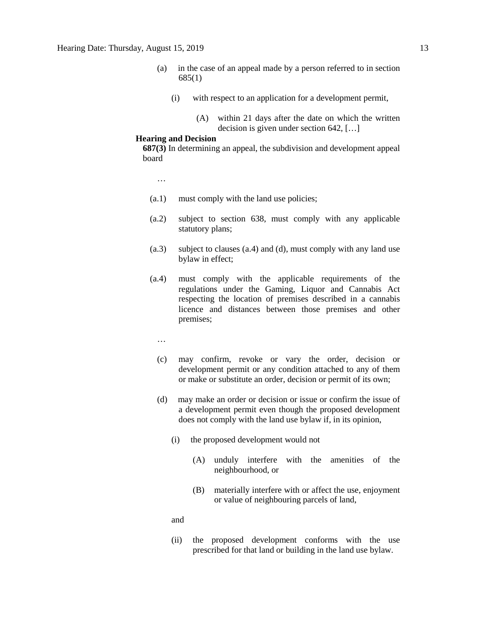- (a) in the case of an appeal made by a person referred to in section 685(1)
	- (i) with respect to an application for a development permit,
		- (A) within 21 days after the date on which the written decision is given under section 642, […]

#### **Hearing and Decision**

**687(3)** In determining an appeal, the subdivision and development appeal board

- …
- (a.1) must comply with the land use policies;
- (a.2) subject to section 638, must comply with any applicable statutory plans;
- (a.3) subject to clauses (a.4) and (d), must comply with any land use bylaw in effect;
- (a.4) must comply with the applicable requirements of the regulations under the Gaming, Liquor and Cannabis Act respecting the location of premises described in a cannabis licence and distances between those premises and other premises;
	- …
	- (c) may confirm, revoke or vary the order, decision or development permit or any condition attached to any of them or make or substitute an order, decision or permit of its own;
	- (d) may make an order or decision or issue or confirm the issue of a development permit even though the proposed development does not comply with the land use bylaw if, in its opinion,
		- (i) the proposed development would not
			- (A) unduly interfere with the amenities of the neighbourhood, or
			- (B) materially interfere with or affect the use, enjoyment or value of neighbouring parcels of land,
		- and
		- (ii) the proposed development conforms with the use prescribed for that land or building in the land use bylaw.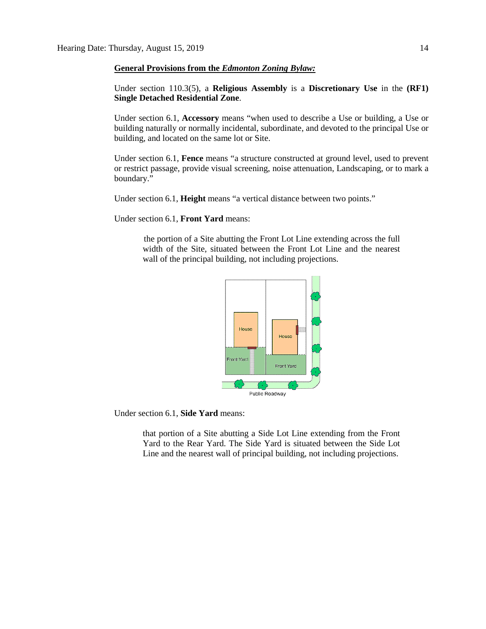#### **General Provisions from the** *Edmonton Zoning Bylaw:*

Under section 110.3(5), a **Religious Assembly** is a **Discretionary Use** in the **(RF1) Single Detached Residential Zone**.

Under section 6.1, **Accessory** means "when used to describe a Use or building, a Use or building naturally or normally incidental, subordinate, and devoted to the principal Use or building, and located on the same lot or Site.

Under section 6.1, **Fence** means "a structure constructed at ground level, used to prevent or restrict passage, provide visual screening, noise attenuation, Landscaping, or to mark a boundary."

Under section 6.1, **Height** means "a vertical distance between two points."

Under section 6.1, **Front Yard** means:

the portion of a Site abutting the Front Lot Line extending across the full width of the Site, situated between the Front Lot Line and the nearest wall of the principal building, not including projections.



Under section 6.1, **Side Yard** means:

that portion of a Site abutting a Side Lot Line extending from the Front Yard to the Rear Yard. The Side Yard is situated between the Side Lot Line and the nearest wall of principal building, not including projections.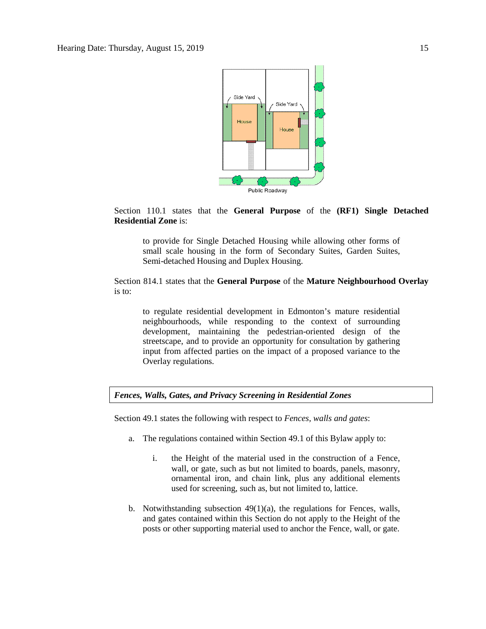

Section 110.1 states that the **General Purpose** of the **(RF1) Single Detached Residential Zone** is:

to provide for Single Detached Housing while allowing other forms of small scale housing in the form of Secondary Suites, Garden Suites, Semi-detached Housing and Duplex Housing.

# Section 814.1 states that the **General Purpose** of the **Mature Neighbourhood Overlay** is to:

to regulate residential development in Edmonton's mature residential neighbourhoods, while responding to the context of surrounding development, maintaining the pedestrian-oriented design of the streetscape, and to provide an opportunity for consultation by gathering input from affected parties on the impact of a proposed variance to the Overlay regulations.

*Fences, Walls, Gates, and Privacy Screening in Residential Zones*

Section 49.1 states the following with respect to *Fences, walls and gates*:

- a. The regulations contained within Section 49.1 of this Bylaw apply to:
	- i. the Height of the material used in the construction of a Fence, wall, or gate, such as but not limited to boards, panels, masonry, ornamental iron, and chain link, plus any additional elements used for screening, such as, but not limited to, lattice.
- b. Notwithstanding subsection 49(1)(a), the regulations for Fences, walls, and gates contained within this Section do not apply to the Height of the posts or other supporting material used to anchor the Fence, wall, or gate.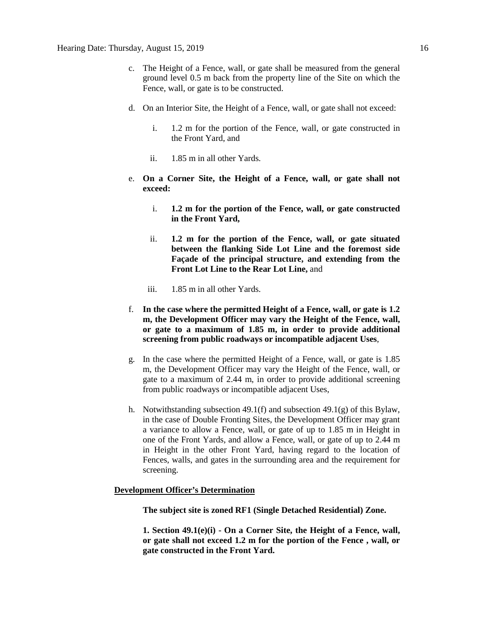- c. The Height of a Fence, wall, or gate shall be measured from the general ground level 0.5 m back from the property line of the Site on which the Fence, wall, or gate is to be constructed.
- d. On an Interior Site, the Height of a Fence, wall, or gate shall not exceed:
	- i. 1.2 m for the portion of the Fence, wall, or gate constructed in the Front Yard, and
	- ii. 1.85 m in all other Yards.
- e. **On a Corner Site, the Height of a Fence, wall, or gate shall not exceed:**
	- i. **1.2 m for the portion of the Fence, wall, or gate constructed in the Front Yard,**
	- ii. **1.2 m for the portion of the Fence, wall, or gate situated between the flanking Side Lot Line and the foremost side Façade of the principal structure, and extending from the Front Lot Line to the Rear Lot Line,** and
	- iii. 1.85 m in all other Yards.
- f. **In the case where the permitted Height of a Fence, wall, or gate is 1.2 m, the Development Officer may vary the Height of the Fence, wall, or gate to a maximum of 1.85 m, in order to provide additional screening from public roadways or incompatible adjacent Uses**,
- g. In the case where the permitted Height of a Fence, wall, or gate is 1.85 m, the Development Officer may vary the Height of the Fence, wall, or gate to a maximum of 2.44 m, in order to provide additional screening from public roadways or incompatible adjacent Uses,
- h. Notwithstanding subsection 49.1(f) and subsection 49.1(g) of this Bylaw, in the case of Double Fronting Sites, the Development Officer may grant a variance to allow a Fence, wall, or gate of up to 1.85 m in Height in one of the Front Yards, and allow a Fence, wall, or gate of up to 2.44 m in Height in the other Front Yard, having regard to the location of Fences, walls, and gates in the surrounding area and the requirement for screening.

#### **Development Officer's Determination**

**The subject site is zoned RF1 (Single Detached Residential) Zone.**

**1. Section 49.1(e)(i) - On a Corner Site, the Height of a Fence, wall, or gate shall not exceed 1.2 m for the portion of the Fence , wall, or gate constructed in the Front Yard.**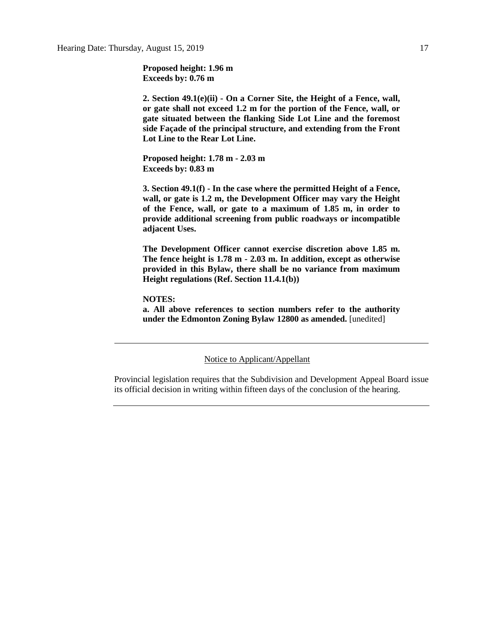**Proposed height: 1.96 m Exceeds by: 0.76 m**

**2. Section 49.1(e)(ii) - On a Corner Site, the Height of a Fence, wall, or gate shall not exceed 1.2 m for the portion of the Fence, wall, or gate situated between the flanking Side Lot Line and the foremost side Façade of the principal structure, and extending from the Front Lot Line to the Rear Lot Line.**

**Proposed height: 1.78 m - 2.03 m Exceeds by: 0.83 m**

**3. Section 49.1(f) - In the case where the permitted Height of a Fence, wall, or gate is 1.2 m, the Development Officer may vary the Height of the Fence, wall, or gate to a maximum of 1.85 m, in order to provide additional screening from public roadways or incompatible adjacent Uses.**

**The Development Officer cannot exercise discretion above 1.85 m. The fence height is 1.78 m - 2.03 m. In addition, except as otherwise provided in this Bylaw, there shall be no variance from maximum Height regulations (Ref. Section 11.4.1(b))**

**NOTES:**

**a. All above references to section numbers refer to the authority under the Edmonton Zoning Bylaw 12800 as amended.** [unedited]

Notice to Applicant/Appellant

Provincial legislation requires that the Subdivision and Development Appeal Board issue its official decision in writing within fifteen days of the conclusion of the hearing.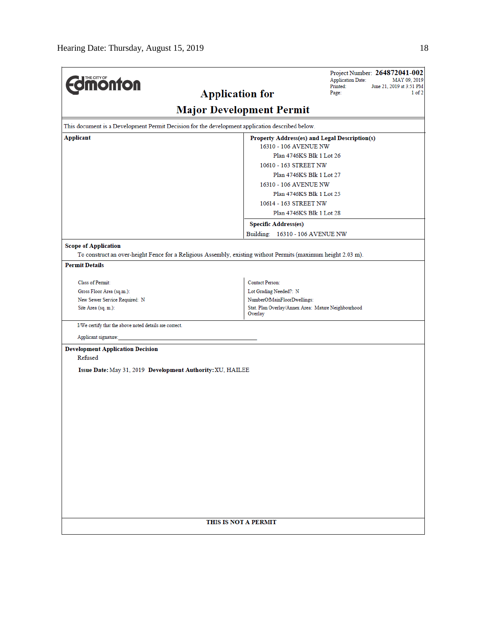| <b><i><u><u><b>M</b>onton</u></u></i></b>                                                                     |                                                                | Project Number: 264872041-002<br><b>Application Date:</b><br>MAY 09, 2019 |  |  |
|---------------------------------------------------------------------------------------------------------------|----------------------------------------------------------------|---------------------------------------------------------------------------|--|--|
|                                                                                                               | Printed:<br><b>Application for</b><br>Page:                    | June 21, 2019 at 3:51 PM<br>$1$ of $2$                                    |  |  |
|                                                                                                               | <b>Major Development Permit</b>                                |                                                                           |  |  |
| This document is a Development Permit Decision for the development application described below.               |                                                                |                                                                           |  |  |
| <b>Applicant</b>                                                                                              | Property Address(es) and Legal Description(s)                  |                                                                           |  |  |
|                                                                                                               | 16310 - 106 AVENUE NW                                          |                                                                           |  |  |
|                                                                                                               | Plan 4746KS Blk 1 Lot 26                                       |                                                                           |  |  |
|                                                                                                               | 10610 - 163 STREET NW                                          |                                                                           |  |  |
|                                                                                                               | Plan 4746KS Blk 1 Lot 27<br>16310 - 106 AVENUE NW              |                                                                           |  |  |
|                                                                                                               | Plan 4746KS Blk 1 Lot 25                                       |                                                                           |  |  |
|                                                                                                               | 10614 - 163 STREET NW                                          |                                                                           |  |  |
|                                                                                                               | Plan 4746KS Blk 1 Lot 28                                       |                                                                           |  |  |
|                                                                                                               | <b>Specific Address(es)</b>                                    |                                                                           |  |  |
|                                                                                                               | Building: 16310 - 106 AVENUE NW                                |                                                                           |  |  |
| <b>Scope of Application</b>                                                                                   |                                                                |                                                                           |  |  |
| To construct an over-height Fence for a Religious Assembly, existing without Permits (maximum height 2.03 m). |                                                                |                                                                           |  |  |
| <b>Permit Details</b>                                                                                         |                                                                |                                                                           |  |  |
| Class of Permit:                                                                                              | <b>Contact Person:</b>                                         |                                                                           |  |  |
| Gross Floor Area (sq.m.):                                                                                     | Lot Grading Needed?: N                                         |                                                                           |  |  |
| New Sewer Service Required: N                                                                                 | NumberOfMainFloorDwellings:                                    |                                                                           |  |  |
| Site Area (sq. m.):                                                                                           | Stat. Plan Overlay/Annex Area: Mature Neighbourhood<br>Overlay |                                                                           |  |  |
| I/We certify that the above noted details are correct.                                                        |                                                                |                                                                           |  |  |
| Applicant signature:                                                                                          |                                                                |                                                                           |  |  |
| <b>Development Application Decision</b><br>Refused                                                            |                                                                |                                                                           |  |  |
| Issue Date: May 31, 2019 Development Authority: XU, HAILEE                                                    |                                                                |                                                                           |  |  |
|                                                                                                               |                                                                |                                                                           |  |  |
|                                                                                                               |                                                                |                                                                           |  |  |
|                                                                                                               |                                                                |                                                                           |  |  |
|                                                                                                               |                                                                |                                                                           |  |  |
|                                                                                                               |                                                                |                                                                           |  |  |
|                                                                                                               |                                                                |                                                                           |  |  |
|                                                                                                               |                                                                |                                                                           |  |  |
|                                                                                                               |                                                                |                                                                           |  |  |
|                                                                                                               |                                                                |                                                                           |  |  |
|                                                                                                               |                                                                |                                                                           |  |  |
|                                                                                                               |                                                                |                                                                           |  |  |
|                                                                                                               |                                                                |                                                                           |  |  |
|                                                                                                               |                                                                |                                                                           |  |  |
|                                                                                                               |                                                                |                                                                           |  |  |
|                                                                                                               | THIS IS NOT A PERMIT                                           |                                                                           |  |  |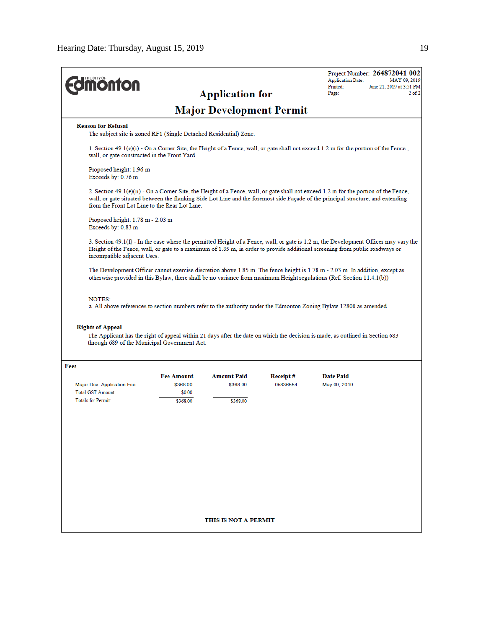| <b><i><u><u><b>MONTON</b></u></u></i></b>                                                      |                    | <b>Application for</b>          |          | Project Number: 264872041-002<br><b>Application Date:</b><br>MAY 09, 2019<br>Printed:<br>June 21, 2019 at 3:51 PM<br>$2$ of $2$<br>Page:                                                                                                                                   |
|------------------------------------------------------------------------------------------------|--------------------|---------------------------------|----------|----------------------------------------------------------------------------------------------------------------------------------------------------------------------------------------------------------------------------------------------------------------------------|
|                                                                                                |                    | <b>Major Development Permit</b> |          |                                                                                                                                                                                                                                                                            |
| <b>Reason for Refusal</b><br>The subject site is zoned RF1 (Single Detached Residential) Zone. |                    |                                 |          |                                                                                                                                                                                                                                                                            |
| wall, or gate constructed in the Front Yard.                                                   |                    |                                 |          | 1. Section 49.1(e)(i) - On a Corner Site, the Height of a Fence, wall, or gate shall not exceed 1.2 m for the portion of the Fence,                                                                                                                                        |
| Proposed height: 1.96 m<br>Exceeds by: 0.76 m                                                  |                    |                                 |          |                                                                                                                                                                                                                                                                            |
| from the Front Lot Line to the Rear Lot Line.                                                  |                    |                                 |          | 2. Section $49.1(e)(ii)$ - On a Corner Site, the Height of a Fence, wall, or gate shall not exceed 1.2 m for the portion of the Fence,<br>wall, or gate situated between the flanking Side Lot Line and the foremost side Façade of the principal structure, and extending |
| Proposed height: $1.78$ m - $2.03$ m<br>Exceeds by: 0.83 m                                     |                    |                                 |          |                                                                                                                                                                                                                                                                            |
| incompatible adjacent Uses.                                                                    |                    |                                 |          | 3. Section 49.1(f) - In the case where the permitted Height of a Fence, wall, or gate is 1.2 m, the Development Officer may vary the<br>Height of the Fence, wall, or gate to a maximum of 1.85 m, in order to provide additional screening from public roadways or        |
|                                                                                                |                    |                                 |          | The Development Officer cannot exercise discretion above 1.85 m. The fence height is 1.78 m - 2.03 m. In addition, except as<br>otherwise provided in this Bylaw, there shall be no variance from maximum Height regulations (Ref. Section 11.4.1(b))                      |
| <b>NOTES:</b><br><b>Rights of Appeal</b>                                                       |                    |                                 |          | a. All above references to section numbers refer to the authority under the Edmonton Zoning Bylaw 12800 as amended.                                                                                                                                                        |
| through 689 of the Municipal Government Act.                                                   |                    |                                 |          | The Applicant has the right of appeal within 21 days after the date on which the decision is made, as outlined in Section 683                                                                                                                                              |
| Fees                                                                                           |                    |                                 |          |                                                                                                                                                                                                                                                                            |
|                                                                                                | <b>Fee Amount</b>  | <b>Amount Paid</b>              | Receipt# | <b>Date Paid</b>                                                                                                                                                                                                                                                           |
| Major Dev. Application Fee<br>Total GST Amount:                                                | \$368.00<br>\$0.00 | \$368.00                        | 05836554 | May 09, 2019                                                                                                                                                                                                                                                               |
| <b>Totals for Permit:</b>                                                                      | \$368.00           | \$368.00                        |          |                                                                                                                                                                                                                                                                            |
|                                                                                                |                    |                                 |          |                                                                                                                                                                                                                                                                            |
|                                                                                                |                    | THIS IS NOT A PERMIT            |          |                                                                                                                                                                                                                                                                            |
|                                                                                                |                    |                                 |          |                                                                                                                                                                                                                                                                            |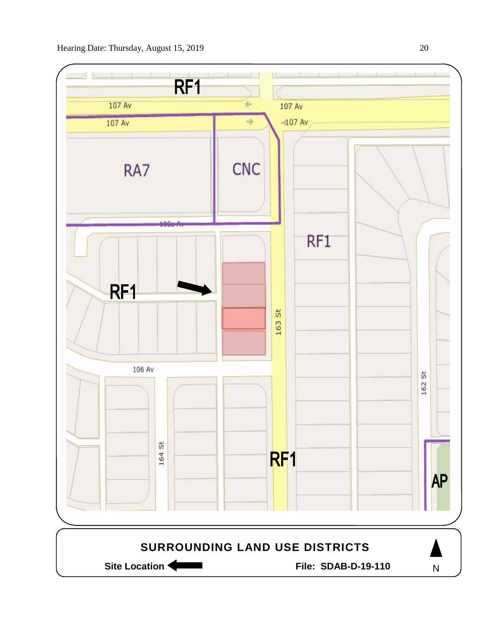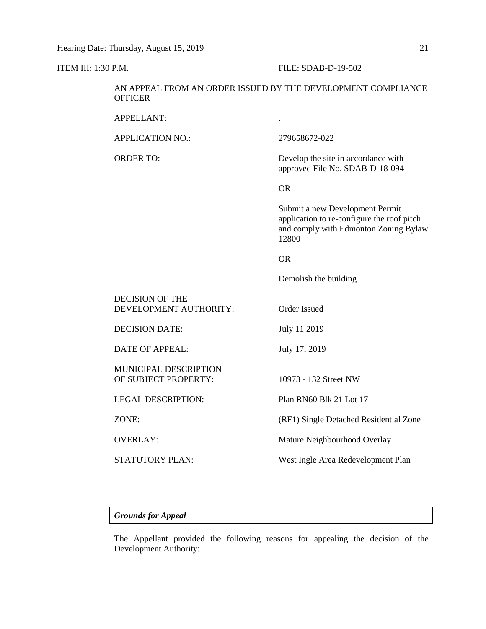### **ITEM III: 1:30 P.M. FILE: SDAB-D-19-502**

# AN APPEAL FROM AN ORDER ISSUED BY THE DEVELOPMENT COMPLIANCE **OFFICER**

APPELLANT: .

APPLICATION NO.: 279658672-022

ORDER TO: Develop the site in accordance with approved File No. SDAB-D-18-094

OR

Submit a new Development Permit application to re-configure the roof pitch and comply with Edmonton Zoning Bylaw 12800

### OR

Demolish the building

DECISION OF THE DEVELOPMENT AUTHORITY: Order Issued

DECISION DATE: July 11 2019

DATE OF APPEAL: July 17, 2019

MUNICIPAL DESCRIPTION OF SUBJECT PROPERTY: 10973 - 132 Street NW

LEGAL DESCRIPTION: Plan RN60 Blk 21 Lot 17

ZONE: (RF1) Single Detached Residential Zone

OVERLAY: Mature Neighbourhood Overlay

STATUTORY PLAN: West Ingle Area Redevelopment Plan

# *Grounds for Appeal*

The Appellant provided the following reasons for appealing the decision of the Development Authority: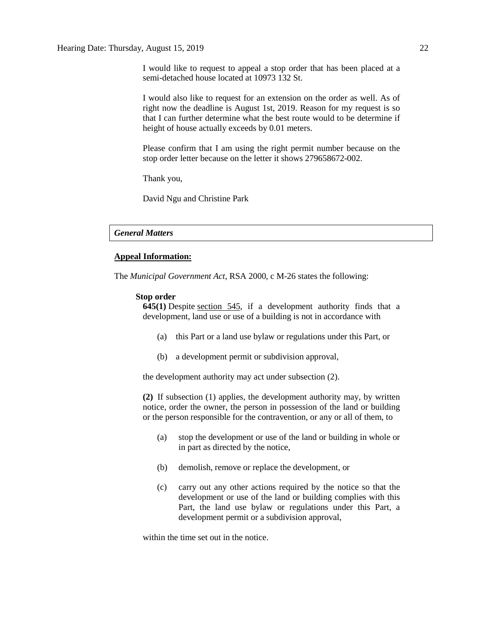I would like to request to appeal a stop order that has been placed at a semi-detached house located at 10973 132 St.

I would also like to request for an extension on the order as well. As of right now the deadline is August 1st, 2019. Reason for my request is so that I can further determine what the best route would to be determine if height of house actually exceeds by 0.01 meters.

Please confirm that I am using the right permit number because on the stop order letter because on the letter it shows 279658672-002.

Thank you,

David Ngu and Christine Park

#### *General Matters*

#### **Appeal Information:**

The *Municipal Government Act*, RSA 2000, c M-26 states the following:

### **Stop order**

**645(1)** Despite [section 545,](https://www.canlii.org/en/ab/laws/stat/rsa-2000-c-m-26/latest/rsa-2000-c-m-26.html%23sec545_smooth) if a development authority finds that a development, land use or use of a building is not in accordance with

- (a) this Part or a land use bylaw or regulations under this Part, or
- (b) a development permit or subdivision approval,

the development authority may act under subsection (2).

**(2)** If subsection (1) applies, the development authority may, by written notice, order the owner, the person in possession of the land or building or the person responsible for the contravention, or any or all of them, to

- (a) stop the development or use of the land or building in whole or in part as directed by the notice,
- (b) demolish, remove or replace the development, or
- (c) carry out any other actions required by the notice so that the development or use of the land or building complies with this Part, the land use bylaw or regulations under this Part, a development permit or a subdivision approval,

within the time set out in the notice.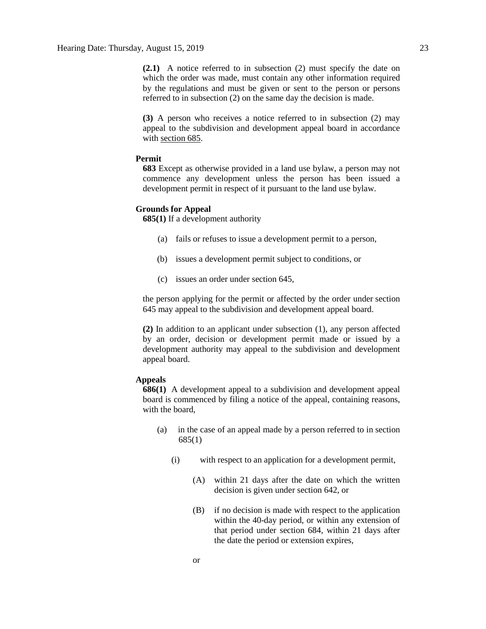**(2.1)** A notice referred to in subsection (2) must specify the date on which the order was made, must contain any other information required by the regulations and must be given or sent to the person or persons referred to in subsection (2) on the same day the decision is made.

**(3)** A person who receives a notice referred to in subsection (2) may appeal to the subdivision and development appeal board in accordance with [section 685.](https://www.canlii.org/en/ab/laws/stat/rsa-2000-c-m-26/latest/rsa-2000-c-m-26.html%23sec685_smooth)

# **Permit**

**683** Except as otherwise provided in a land use bylaw, a person may not commence any development unless the person has been issued a development permit in respect of it pursuant to the land use bylaw.

### **Grounds for Appeal**

**685(1)** If a development authority

- (a) fails or refuses to issue a development permit to a person,
- (b) issues a development permit subject to conditions, or
- (c) issues an order under section 645,

the person applying for the permit or affected by the order under section 645 may appeal to the subdivision and development appeal board.

**(2)** In addition to an applicant under subsection (1), any person affected by an order, decision or development permit made or issued by a development authority may appeal to the subdivision and development appeal board.

# **Appeals**

**686(1)** A development appeal to a subdivision and development appeal board is commenced by filing a notice of the appeal, containing reasons, with the board,

- (a) in the case of an appeal made by a person referred to in section 685(1)
	- (i) with respect to an application for a development permit,
		- (A) within 21 days after the date on which the written decision is given under section 642, or
		- (B) if no decision is made with respect to the application within the 40-day period, or within any extension of that period under section 684, within 21 days after the date the period or extension expires,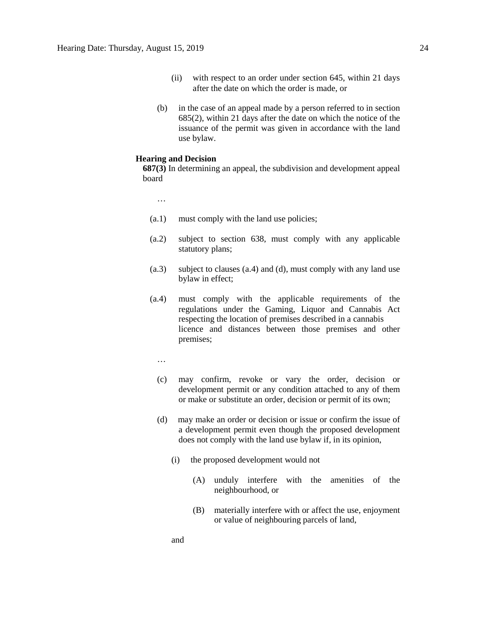- (ii) with respect to an order under section 645, within 21 days after the date on which the order is made, or
- (b) in the case of an appeal made by a person referred to in section 685(2), within 21 days after the date on which the notice of the issuance of the permit was given in accordance with the land use bylaw.

# **Hearing and Decision**

**687(3)** In determining an appeal, the subdivision and development appeal board

…

- (a.1) must comply with the land use policies;
- (a.2) subject to section 638, must comply with any applicable statutory plans;
- (a.3) subject to clauses (a.4) and (d), must comply with any land use bylaw in effect;
- (a.4) must comply with the applicable requirements of the regulations under the Gaming, Liquor and Cannabis Act respecting the location of premises described in a cannabis licence and distances between those premises and other premises;
	- …

and

- (c) may confirm, revoke or vary the order, decision or development permit or any condition attached to any of them or make or substitute an order, decision or permit of its own;
- (d) may make an order or decision or issue or confirm the issue of a development permit even though the proposed development does not comply with the land use bylaw if, in its opinion,
	- (i) the proposed development would not
		- (A) unduly interfere with the amenities of the neighbourhood, or
		- (B) materially interfere with or affect the use, enjoyment or value of neighbouring parcels of land,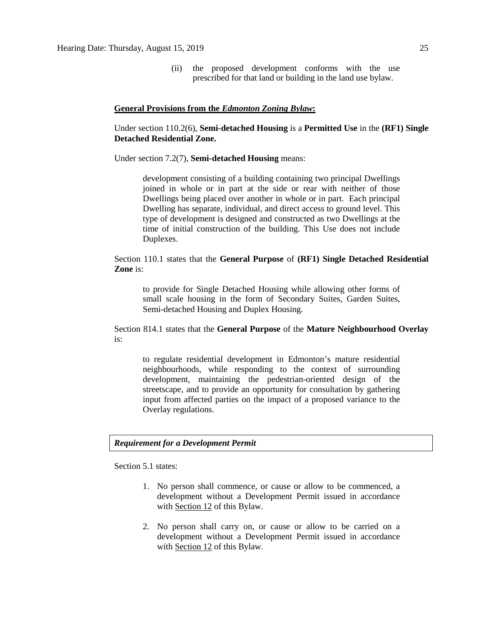(ii) the proposed development conforms with the use prescribed for that land or building in the land use bylaw.

#### **General Provisions from the** *Edmonton Zoning Bylaw***:**

Under section 110.2(6), **Semi-detached Housing** is a **Permitted Use** in the **(RF1) Single Detached Residential Zone.** 

Under section 7.2(7), **Semi-detached Housing** means:

development consisting of a building containing two principal Dwellings joined in whole or in part at the side or rear with neither of those Dwellings being placed over another in whole or in part. Each principal Dwelling has separate, individual, and direct access to ground level. This type of development is designed and constructed as two Dwellings at the time of initial construction of the building. This Use does not include Duplexes.

Section 110.1 states that the **General Purpose** of **(RF1) Single Detached Residential Zone** is:

to provide for Single Detached Housing while allowing other forms of small scale housing in the form of Secondary Suites, Garden Suites, Semi-detached Housing and Duplex Housing.

Section 814.1 states that the **General Purpose** of the **Mature Neighbourhood Overlay** is:

to regulate residential development in Edmonton's mature residential neighbourhoods, while responding to the context of surrounding development, maintaining the pedestrian-oriented design of the streetscape, and to provide an opportunity for consultation by gathering input from affected parties on the impact of a proposed variance to the Overlay regulations.

# *Requirement for a Development Permit*

Section 5.1 states:

- 1. No person shall commence, or cause or allow to be commenced, a development without a Development Permit issued in accordance with [Section 12](https://webdocs.edmonton.ca/InfraPlan/zoningbylaw/ZoningBylaw/Part1/Administrative/12__Development_Classes.htm) of this Bylaw.
- 2. No person shall carry on, or cause or allow to be carried on a development without a Development Permit issued in accordance with [Section 12](https://webdocs.edmonton.ca/InfraPlan/zoningbylaw/ZoningBylaw/Part1/Administrative/12__Development_Classes.htm) of this Bylaw.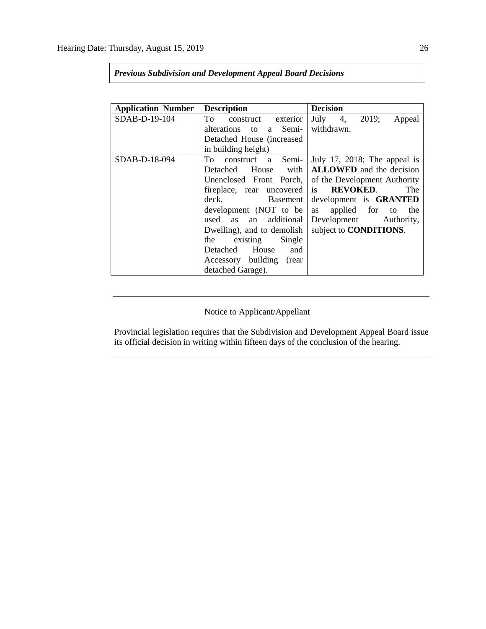| <b>Application Number</b> | <b>Description</b>         | <b>Decision</b>                 |
|---------------------------|----------------------------|---------------------------------|
| SDAB-D-19-104             | To construct exterior      | July 4, $2019$ ;<br>Appeal      |
|                           | alterations to a Semi-     | withdrawn.                      |
|                           | Detached House (increased) |                                 |
|                           | in building height)        |                                 |
| SDAB-D-18-094             | To construct a Semi-       | July 17, 2018; The appeal is    |
|                           | Detached House with        | <b>ALLOWED</b> and the decision |
|                           | Unenclosed Front Porch,    | of the Development Authority    |
|                           | fireplace, rear uncovered  | is <b>REVOKED</b> .<br>The      |
|                           | deck, Basement             | development is GRANTED          |
|                           | development (NOT to be     | applied for to<br>as<br>the     |
|                           | used as an additional      | Development Authority,          |
|                           | Dwelling), and to demolish | subject to <b>CONDITIONS</b> .  |
|                           | the existing<br>Single     |                                 |
|                           | Detached House and         |                                 |
|                           | Accessory building (rear   |                                 |
|                           | detached Garage).          |                                 |

# *Previous Subdivision and Development Appeal Board Decisions*

# Notice to Applicant/Appellant

Provincial legislation requires that the Subdivision and Development Appeal Board issue its official decision in writing within fifteen days of the conclusion of the hearing.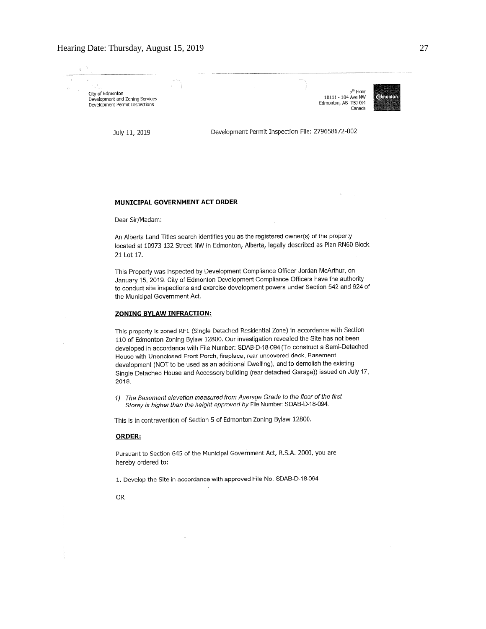#### Hearing Date: Thursday, August 15, 2019 27

City of Edmonton Development and Zoning Services Development Permit Inspections

10111 - 104 Ave NW Edmonton, AB T5J 034



July 11, 2019

Development Permit Inspection File: 279658672-002

#### MUNICIPAL GOVERNMENT ACT ORDER

Dear Sir/Madam:

An Alberta Land Titles search identifies you as the registered owner(s) of the property located at 10973 132 Street NW in Edmonton, Alberta, legally described as Plan RN60 Block 21 Lot 17.

This Property was inspected by Development Compliance Officer Jordan McArthur, on January 15, 2019. City of Edmonton Development Compliance Officers have the authority to conduct site inspections and exercise development powers under Section 542 and 624 of the Municipal Government Act.

#### **ZONING BYLAW INFRACTION:**

This property is zoned RF1 (Single Detached Residential Zone) in accordance with Section 110 of Edmonton Zoning Bylaw 12800. Our investigation revealed the Site has not been developed in accordance with File Number: SDAB-D-18-094 (To construct a Semi-Detached House with Unenclosed Front Porch, fireplace, rear uncovered deck, Basement development (NOT to be used as an additional Dwelling), and to demolish the existing Single Detached House and Accessory building (rear detached Garage)) issued on July 17, 2018.

1) The Basement elevation measured from Average Grade to the floor of the first Storey is higher than the height approved by File Number: SDAB-D-18-094.

This is in contravention of Section 5 of Edmonton Zoning Bylaw 12800.

#### **ORDER:**

Pursuant to Section 645 of the Municipal Government Act, R.S.A. 2000, you are hereby ordered to:

1. Develop the Site in accordance with approved File No. SDAB-D-18-094

**OR**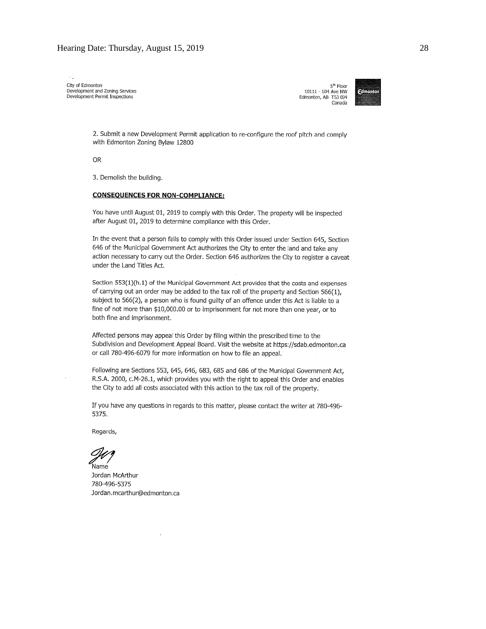City of Edmonton<br>Development and Zoning Services Development Permit Inspections

5<sup>th</sup> Floor 10111 - 104 Ave NW Edmonton, AB T5J 0J4 Canada



2. Submit a new Development Permit application to re-configure the roof pitch and comply with Edmonton Zoning Bylaw 12800

**OR** 

3. Demolish the building.

#### **CONSEQUENCES FOR NON-COMPLIANCE:**

You have until August 01, 2019 to comply with this Order. The property will be inspected after August 01, 2019 to determine compliance with this Order.

In the event that a person fails to comply with this Order issued under Section 645, Section 646 of the Municipal Government Act authorizes the City to enter the land and take any action necessary to carry out the Order. Section 646 authorizes the City to register a caveat under the Land Titles Act.

Section 553(1)(h.1) of the Municipal Government Act provides that the costs and expenses of carrying out an order may be added to the tax roll of the property and Section 566(1), subject to 566(2), a person who is found guilty of an offence under this Act is liable to a fine of not more than \$10,000.00 or to imprisonment for not more than one year, or to both fine and imprisonment.

Affected persons may appeal this Order by filing within the prescribed time to the Subdivision and Development Appeal Board. Visit the website at https://sdab.edmonton.ca or call 780-496-6079 for more information on how to file an appeal.

Following are Sections 553, 645, 646, 683, 685 and 686 of the Municipal Government Act, R.S.A. 2000, c.M-26.1, which provides you with the right to appeal this Order and enables the City to add all costs associated with this action to the tax roll of the property,

If you have any questions in regards to this matter, please contact the writer at 780-496-5375.

Regards,

.<br>Namé

Jordan McArthur 780-496-5375 Jordan.mcarthur@edmonton.ca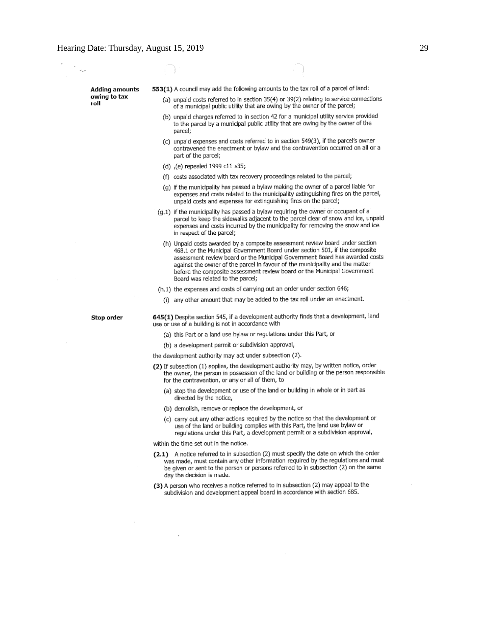**Adding amounts** owing to tax roll

553(1) A council may add the following amounts to the tax roll of a parcel of land:

- (a) unpaid costs referred to in section 35(4) or 39(2) relating to service connections of a municipal public utility that are owing by the owner of the parcel;
- (b) unpaid charges referred to in section 42 for a municipal utility service provided to the parcel by a municipal public utility that are owing by the owner of the parcel;
- (c) unpaid expenses and costs referred to in section 549(3), if the parcel's owner contravened the enactment or bylaw and the contravention occurred on all or a part of the parcel;
- (d) (e) repealed 1999 c11 s35;
- (f) costs associated with tax recovery proceedings related to the parcel;
- (g) if the municipality has passed a bylaw making the owner of a parcel liable for expenses and costs related to the municipality extinguishing fires on the parcel, unpaid costs and expenses for extinguishing fires on the parcel;
- $(q,1)$  if the municipality has passed a bylaw requiring the owner or occupant of a parcel to keep the sidewalks adjacent to the parcel clear of snow and ice, unpaid expenses and costs incurred by the municipality for removing the snow and ice in respect of the parcel;
	- (h) Unpaid costs awarded by a composite assessment review board under section 468.1 or the Municipal Government Board under section 501, if the composite assessment review board or the Municipal Government Board has awarded costs against the owner of the parcel in favour of the municipality and the matter before the composite assessment review board or the Municipal Government Board was related to the parcel;
- (h.1) the expenses and costs of carrying out an order under section 646;
	- (i) any other amount that may be added to the tax roll under an enactment.

Stop order

645(1) Despite section 545, if a development authority finds that a development, land use or use of a building is not in accordance with

- (a) this Part or a land use bylaw or regulations under this Part, or
- (b) a development permit or subdivision approval,
- the development authority may act under subsection (2).
- (2) If subsection (1) applies, the development authority may, by written notice, order the owner, the person in possession of the land or building or the person responsible for the contravention, or any or all of them, to
	- (a) stop the development or use of the land or building in whole or in part as directed by the notice,
	- (b) demolish, remove or replace the development, or
	- carry out any other actions required by the notice so that the development or  $(c)$ use of the land or building complies with this Part, the land use bylaw or regulations under this Part, a development permit or a subdivision approval,

within the time set out in the notice.

- (2.1) A notice referred to in subsection (2) must specify the date on which the order was made, must contain any other information required by the regulations and must be given or sent to the person or persons referred to in subsection (2) on the same day the decision is made.
- (3) A person who receives a notice referred to in subsection (2) may appeal to the subdivision and development appeal board in accordance with section 685.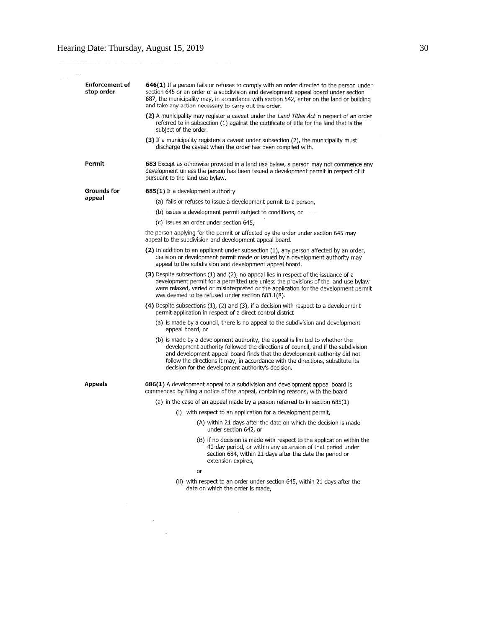<u>na sa Salamana</u>

 $\sim 10^{-11}$  $\mathcal{L}^{\mathcal{L}}$  and  $\mathcal{L}^{\mathcal{L}}$ 

| <b>Enforcement of</b><br>stop order | 646(1) If a person fails or refuses to comply with an order directed to the person under<br>section 645 or an order of a subdivision and development appeal board under section<br>687, the municipality may, in accordance with section 542, enter on the land or building<br>and take any action necessary to carry out the order.                                                   |  |  |  |
|-------------------------------------|----------------------------------------------------------------------------------------------------------------------------------------------------------------------------------------------------------------------------------------------------------------------------------------------------------------------------------------------------------------------------------------|--|--|--|
|                                     | (2) A municipality may register a caveat under the <i>Land Titles Act</i> in respect of an order<br>referred to in subsection (1) against the certificate of title for the land that is the<br>subject of the order.                                                                                                                                                                   |  |  |  |
|                                     | (3) If a municipality registers a caveat under subsection (2), the municipality must<br>discharge the caveat when the order has been complied with.                                                                                                                                                                                                                                    |  |  |  |
| Permit                              | 683 Except as otherwise provided in a land use bylaw, a person may not commence any<br>development unless the person has been issued a development permit in respect of it<br>pursuant to the land use bylaw.                                                                                                                                                                          |  |  |  |
| Grounds for                         | 685(1) If a development authority                                                                                                                                                                                                                                                                                                                                                      |  |  |  |
| appeal                              | (a) fails or refuses to issue a development permit to a person,                                                                                                                                                                                                                                                                                                                        |  |  |  |
|                                     | (b) issues a development permit subject to conditions, or                                                                                                                                                                                                                                                                                                                              |  |  |  |
|                                     | (c) issues an order under section 645,                                                                                                                                                                                                                                                                                                                                                 |  |  |  |
|                                     | the person applying for the permit or affected by the order under section 645 may<br>appeal to the subdivision and development appeal board.                                                                                                                                                                                                                                           |  |  |  |
|                                     | (2) In addition to an applicant under subsection (1), any person affected by an order,<br>decision or development permit made or issued by a development authority may<br>appeal to the subdivision and development appeal board.                                                                                                                                                      |  |  |  |
|                                     | (3) Despite subsections (1) and (2), no appeal lies in respect of the issuance of a<br>development permit for a permitted use unless the provisions of the land use bylaw<br>were relaxed, varied or misinterpreted or the application for the development permit<br>was deemed to be refused under section 683.1(8).                                                                  |  |  |  |
|                                     | (4) Despite subsections $(1)$ , $(2)$ and $(3)$ , if a decision with respect to a development<br>permit application in respect of a direct control district                                                                                                                                                                                                                            |  |  |  |
|                                     | (a) is made by a council, there is no appeal to the subdivision and development<br>appeal board, or                                                                                                                                                                                                                                                                                    |  |  |  |
|                                     | (b) is made by a development authority, the appeal is limited to whether the<br>development authority followed the directions of council, and if the subdivision<br>and development appeal board finds that the development authority did not<br>follow the directions it may, in accordance with the directions, substitute its<br>decision for the development authority's decision. |  |  |  |
| Appeals                             | 686(1) A development appeal to a subdivision and development appeal board is<br>commenced by filing a notice of the appeal, containing reasons, with the board                                                                                                                                                                                                                         |  |  |  |
|                                     | (a) in the case of an appeal made by a person referred to in section $685(1)$                                                                                                                                                                                                                                                                                                          |  |  |  |
|                                     | (i) with respect to an application for a development permit,                                                                                                                                                                                                                                                                                                                           |  |  |  |
|                                     | (A) within 21 days after the date on which the decision is made<br>under section 642, or                                                                                                                                                                                                                                                                                               |  |  |  |
|                                     | (B) if no decision is made with respect to the application within the<br>40-day period, or within any extension of that period under<br>section 684, within 21 days after the date the period or<br>extension expires,                                                                                                                                                                 |  |  |  |
|                                     | or                                                                                                                                                                                                                                                                                                                                                                                     |  |  |  |
|                                     | (ii) with respect to an order under section 645, within 21 days after the<br>date on which the order is made,                                                                                                                                                                                                                                                                          |  |  |  |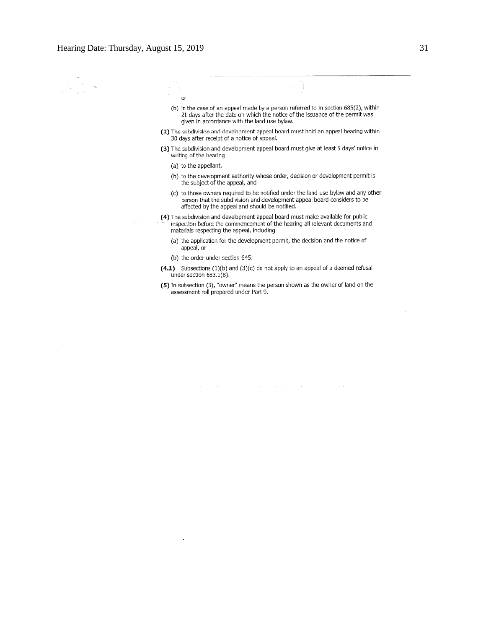J.  $\bar{z}$ 

- or (b) in the case of an appeal made by a person referred to in section 685(2), within 21 days after the date on which the notice of the issuance of the permit was given in accordance with the land use bylaw.
- (2) The subdivision and development appeal board must hold an appeal hearing within 30 days after receipt of a notice of appeal.
- (3) The subdivision and development appeal board must give at least 5 days' notice in writing of the hearing
	- (a) to the appellant,
	- (b) to the development authority whose order, decision or development permit is the subject of the appeal, and
	- (c) to those owners required to be notified under the land use bylaw and any other person that the subdivision and development appeal board considers to be affected by the appeal and should be notified.
- (4) The subdivision and development appeal board must make available for public inspection before the commencement of the hearing all relevant documents and materials respecting the appeal, including
	- (a) the application for the development permit, the decision and the notice of appeal, or
	- (b) the order under section 645.
- (4.1) Subsections (1)(b) and (3)(c) do not apply to an appeal of a deemed refusal under section 683.1(8).
- (5) In subsection (3), "owner" means the person shown as the owner of land on the assessment roll prepared under Part 9.